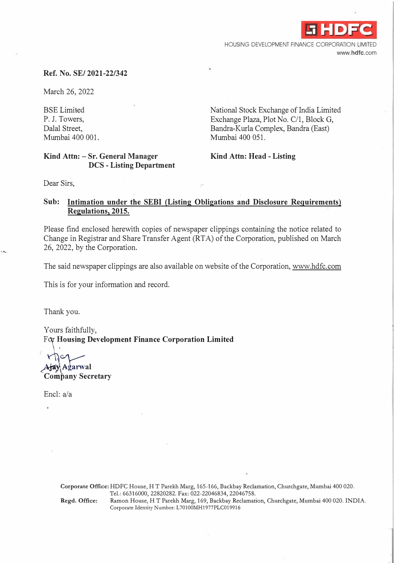**-i HDFC** HOUSING DEVELOPMENT FINANCE CORPORATION LIMITED **www.hdfc.com** 

# **Ref. No. SE/ 2021-22/342**

March 26, 2022

BSE Limited P. J. Towers, Dalal Street, Mumbai 400 001. National Stock Exchange of India Limited Exchange Plaza, Plot No. C/1, Block G, Bandra-Kurla Complex, Bandra (East) Mumbai 400 051.

# **Kind Attn: - Sr. General Manager DCS - Listing Department**

**Kind Attn: Head - Listing** 

Dear Sirs,

# **Sub: Intimation under the SEBI (Listing Obligations and Disclosure Requirements) Regulations, 2015.**

Please find enclosed herewith copies of newspaper clippings containing the notice related to Change in Registrar and Share Transfer Agent (RT A) of the Corporation, published on March 26, 2022, by the Corporation.

The said newspaper clippings are also available on website of the Corporation, www.hdfc.com

This is for your information and record.

Thank you.

Yours faithfully, F $\alpha$  Housing Development Finance Corporation Limited

Ajay Agarwal

**C�in1any Secretary** 

Encl: a/a

**Corporate Office:** HDFC House, HT Parekh Marg, 165-166, Backbay Reclamation, Churchgate, Mumbai 400 020. Tel.: 66316000, 22820282. Fax: 022-22046834, 22046758. Regd. Office: Ramon House, HT Parekh Marg, 169, Backbay Reclamation, Churchgate, Mumbai 400 020. INDIA. Corporate Identity Number: L70100MH1977PLC019916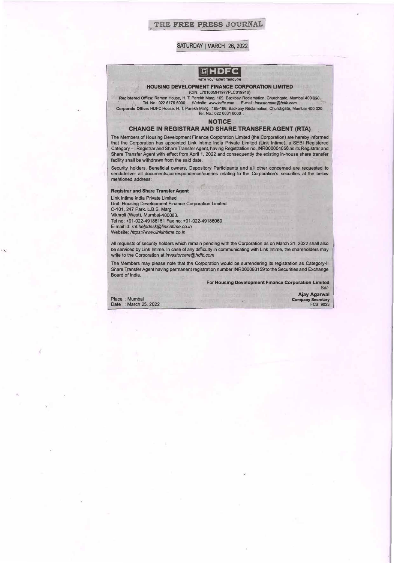# THE FREE PRESS JOURNAL

#### SATURDAY | MARCH 26, 2022



#### **HOUSING DEVELOPMENT FINANCE CORPORATION LIMITED (CIN: L70100MH19TTPLC019916)**

Registered Office: Ramon House, H. T. Parekh Marg, 169, Backbay Reclamation, Churchgate, Mumbai 400 020.<br>Fel. No.: 022 6176 6000 Website: *www.hdfc.com* **E-mail:** *investorcare@hdfc.com* Corporate Office: **HDFC House, H.** T. **Parekh** Marg, **165-166,** Backbay Reclamation, **Churchgate,** M�mbai 400 020. **Tel. No.: 022 6631 6000** 

#### **NOTICE**

#### **CHANGE IN REGISTRAR AND SHARE TRANSFER AGENT (RTA)**

The Members of Housing Development Finance Corporation Limited (the Corporation) are hereby informed that the Corporation has appointed Link lntime India Private Limited (Link lntime), a SEBI Registered . Category- I Registrar and Share Transfer Agent, having Registration no. **INR000004058** as its Registrar and Share Transfer Agent with effect from April 1, 2022 and consequently the existing in-house share transfer facility shall be withdrawn from the said date.

Security holders, Beneficial owners, Depository Participants and all other concerned are requested to send/deliver all documents/correspondence/queries relating to the Corporation's securities at the below mentioned address:

**Registrar and Share Transfer Agent** 

*J•* 

Link lntime India Private Limited Unit: Housing Development Finance Corporation Limited C-101, 247 Park, L.B.S. Marg Vikhroli (West), Mumbai-400083. Tel no: +91-022-49186151 Fax no: +91-022-49186060 E-mail'id: *mt.he/pdesk@linkintime.co.in*  Website: *https:l/www.linkintime.co.in* 

All requests of security holders which remain pending with the Corporation as on March 31, 2022 shall also be serviced by Link Intime. In case of any difficulty in communicating with Link Intime, the shareholders may write to the Corporation\_ at *investorcare@hdfc.com* 

The Members may please note that the Corporation would be surrendering its registration as Category-II Share Transfer Agent having permanent registration number INR000083159 to the Securities and Exchange Board of India.

> For **Housing Development Finance Corporation Limited**  Sd/·

ż.

Place : Mumbai<br>Date : March 2 : March 25, 2022

**Ajay Agarwal Company Secretary FCS: 9023**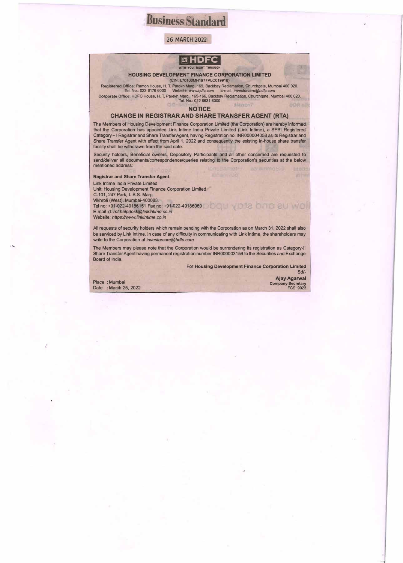# **Business**

## 26 MARCH 2022



#### **HOUSING DEVELOPMENT FINANCE CORPORATION LIMITED**  (CIN: L70100MH1977PLC019916)

Registered Offlce: Ramon House, H. T. Parekh Marg, 169, Backbay Reclamation, Churchgate, Mumbai 400 020.<br>Tel. No.: 022 6176 6000 Website: www.*hdfc.com* E-mail: *investorcare@hdfc.com* Corporalle Ofllce: HDFC House, H. T. Patekh Marg, 165-166, Backbay Reclamation, Churchgate, Mumbai 400 020. . Tel. No.: 022 6631 6000

**NOTICE** 

#### **CHANGE IN REGISTRAR AND SHARE TRANSFER AGENT (RTA)**

The Members of Housing Development Finance Corporation Limited **(the Corporation)** are hereby informed category-I Registrar and Share Transfer Agent, having Registration **no.** INR000004058 **as its** Registrar and that the Corporation has appointed Link lntime India Private Limited (Link lntime), a SEBI Registered Share Transfer Agent with effect from April 1, 2022 and consequently the existing in-house share transfer facility shall be withdrawn from the said date.

Security holders, Beneficial owners, Depository Participants and all other concerned are requested to send/deliver all documents/correspondence/queries relating to the Corporation's securities at the below mentioned address:

#### **Registrar** and **Share Transfer Agent**

Link lntime India Private Limited Unit: Housing Development Finance Corporation Limited C-101, 247 Park, L.B.S. Marg Vikhroli (West), Mumbai-400083. Tel no: +91-022-49186151 Fax no: +91-022-49186060 E-mail **id:** *mt.helpdesl<@Jinldntime.co.in*  Website: https://www.linkintime.co.in

All requests of security holders which remain pending with the Corporation as on March 31, 2022 shall also be **serviced** by Link lntime. In case of any difficulty in communicating with Link lntime, the shareholders may write to the Corporation at *investorcare@hdfc.com* 

The Members may please **note** that the Corporation would be surrendering **its** registration as Category-II Share Transfer Agent having permanent registration number INR000003159 to **the** Securities **and** Exchange Board of India.

> **For Housing Development Finance Corporation Limited** Sd/

slamps?

Place : Mumbai Date : March 25, 2022

' **.....** 

*(* 

**Ajay Agarwal**  Company Secretary<br>FCS: 9023